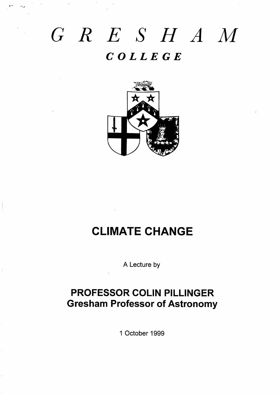# *GRE SHAM COLLEGE*



# **CLIMATE CHANGE**

A Lecture by

# **PROFESSOR COLIN PILLINGER Gresham Professor of Astronomy**

<sup>1</sup> October 1999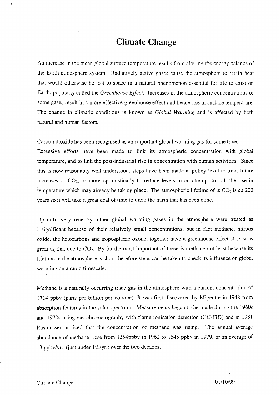### **Climate Change**

An increase in the mean global surface temperature results from altering the energy balance of the Earth-atmosphere system. Radiatively active gases cause the atmosphere to retain heat that would otherwise be lost to space in a natural phenomenon essential for life to exist on Earth, popularly called the *Greenhol{se Eflect.* Increases in the atmospheric concentrations of some gases result in a more effective greenhouse effect and hence rise in surface temperature. The change in climatic conditions is known as *Global Warming* and is affected by both natural and human factors.

Carbon dioxide has been recognised as an important global warming gas for some time.

Extensive efforts have been made to link its atmospheric concentration with global temperature, and to link the post-industrial rise in concentration with human activities. Since this is now reasonably well understood, steps have been made at policy-level to limit future increases of  $CO<sub>2</sub>$ , or more optimistically to reduce levels in an attempt to halt the rise in temperature which may already be taking place. The atmospheric lifetime of is  $CO<sub>2</sub>$  is  $ca.200$ years so it will take a great deal of time to undo the harm that has been done.

Up until very recently, other global warming gases in the atmosphere were treated as insignificant because of their relatively smali concentrations, but in fact methane, nitrous oxide, the halocarbons and tropospheric ozone, together have a greenhouse effect at least as great as that due to  $CO<sub>2</sub>$ . By far the most important of these is methane not least because its lifetime in the atmosphere is short therefore steps can be taken to check its influence on gIobal warming on a rapid timescale. .

Methane is a naturally occurring trace gas in the atmosphere with a current concentration of 1714 ppbv (parts per billion per volume). It was first discovered by Migeotte in 1948 from absorption features in the solar spectrum. Measurements began to be made during the 1960s and 1970s using gas chromatography with flame ionisation detection (GC-FD) and in 1981 Rasmussen noticed that the concentration of methane was rising. The annual average abundance of methane rose from 1354ppbv in 1962 to 1545 ppbv in 1979, or an average of 13 ppbv/yr. (just under  $1\%/yr$ .) over the two decades.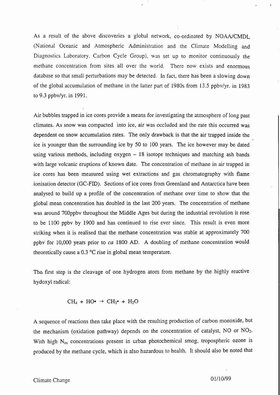As a result of the above discoveries a global network, co-ordinated by NOAA/CMDL (National Oceanic and Atmospheric Administration and the Climate Modelling and Diagnostics Laboratory, Carbon Cycle Group), was set up to monitor continuously the methane concentration from sites all over the world. There now exists and enormous database so that small perturbations may be detected. In fact, there has been a slowing down of the global accumulation of methane in the latter part of 1980s from 13.5 ppbv/yr. in 1983 to 9.3 ppbv/yr. in 1991.

Air bubbles trapped in ice cores provide a means for investigating the atmosphere of long past climates. As snow was compacted into ice, air was occluded and the rate this occurred was dependent on snow accumulation rates. The only drawback is that the air trapped inside the ice is younger than the surrounding ice by 50 to 100 years. The ice however may be dated using various methods, including oxygen – 18 isotope techniques and matching ash bands with large volcanic eruptions of known date. The concentration of methane in air trapped in ice cores has been measured using wet extractions and gas chromatography with flame ionisation detector (GC-FID). Sections of ice cores from Greenland and Antarctica have been analysed to build up a profile of the concentration of methane over time to show that the global mean concentration has doubled in the last 200 years. The concentration of methane was around 700ppbv throughout the Middle Ages but during the industrial revolution it rose to be 1100 ppbv by 1900 and has continued to rise ever since. This result is even more striking when it is realised that the methane concentration was stable at approximately 700 ppbv for 10,000 years prior to *ca* 1800 AD. A doubling of methane concentration would theoretically cause a  $0.3 \text{ °C}$  rise in global mean temperature.

The first step is the cleavage of one hydrogen atom from methane by the highly reactive hydoxyl radical:

$$
CH_4 + HO^{\bullet} \rightarrow CH_3^{\bullet} + H_2O
$$

A sequence of reactions then take place with the resulting production of carbon monoxide, but the mechanism (oxidation pathway) depends on the concentration of catalyst, NO or  $NO<sub>2</sub>$ . With high  $N_{ox}$  concentrations present in urban photochemical smog, tropospheric ozone is produced by the methane cycle, which is also hazardous to health. It should also be noted that >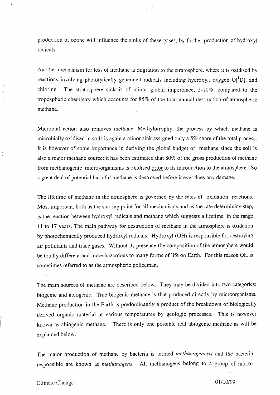production of ozone will influence the sinks of these gases, by further production of hydroxyl radicals.

Another mechanism for loss of methane is migration to the stratosphere. where it is oxidised by reactions involving photolytically generated radicals including hydroxyl, oxygen  $O[{}^{1}D]$ , and chlorine. The stratosphere sink is of minor global importance,  $5-10\%$ , compared to the tropospheric chemistry which accounts for  $85\%$  of the total annual destruction of atmospheric methane.

Microbial action aIso removes methane. Methylotrophy, the process by which methane is microbially oxidised in soils is again a minor sink assigned only a 570 share of the total process. It is however of some importance in deriving the global budget of methane since the soil is also a major methane source; it has been estimated that 80% of the gross production of methane from methanogenic micro-organisms is oxidised prior to its introduction to the atmosphere. So a great deal of potential harmful methane is destroyed before it ever does any damage.

The lifetime of methane in the atmosphere is governed by the rates of oxidation reactions. Most important, both as the starting point for ali mechanisms and as the rate determining step, is the reaction between hydroxyl radicals and methane which suggests a lifetime in the range 11 to 17 years. The main pathway for destruction of methane in the atmosphere is oxidation by photochemically produced hydroxyl radicals. Hydroxyl (OH) is responsible for destroying air pollutants and trace gases. Without its presence the composition of the atmosphere would be totally different and more hazardous to many forms of life on Earth. For this reason OH is sometimes referred to as the atmospheric policeman.

The main sources of methane are described below. They may be divided into two categories: biogenic and abiogenic. True biogenic methane is that produced directly by microorganisms. Methane production in the Earth is predominantly a product of the breakdown of biologically derived organic material at various temperatures by geologic processes. This is however known as abiogenic methane. There is only one possible real abiogenic methane as will be explained below.

The major production of methane by bacteria is termed *methanogenesjs* and the bacteria responsible are known as *methanogens*. All methanogens belong to a group of micro-

#### Climate Change

.

01/10/99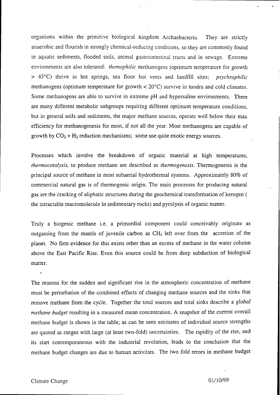organisms within the primitive biological kingdom Archaebacteria. They are strictly anaerobic and flourish in strongly chemical-reducing conditions, so they are commonly found in aquatic sediments, flooded soils, animal gastrointestinal tracts and in sewage. Extreme environments are also tolerated: *themophilic* methanogens (optimum temperature for growth > 45°C) thrive in hot springs, sea floor hot vents and landfill sites; *psychrophilic* methanogens (optimum temperature for growth  $< 20^{\circ}$ C) survive in tundra and cold climates. Some methanogens are able to survive in extreme pH and hypersaline environments. There are many, different metabolic subgroups requiring different optimum temperature conditions, but in general soils and sediments, the major methane sources, operate well below their max efficiency for methanogenesis for most, if not all the year. Most methanogens are capable of growth by  $CO_2 + H_2$  reduction mechanisms; some use quite exotic energy sources.

Processes which involve the breakdown of organic material at high temperatures, *thermocatafysis,* to produce methane are described as *thermogenesis.* Thermogenesis is the principaI source of methane in most subaeriaI hydrothermal systems. Approximately 80% of commercial natural gas is of therrnogenic origin. The main processes for producing natural gas are the cracking of aliphatic structures during the geochemicaI transformation of kerogen ( the intractable macromolecule in sedimentary rocks) and pyrolysis of organic matter.

Truly a biogenic methane i.e. a primordial component could conceivably originate as outgassing from the mantle of juvenile carbon as  $CH<sub>4</sub>$  left over from the accretion of the planet. No firm evidence for this exists other than an excess of methane in the water column above the East Pacific Rise. Even this source could be from deep subduction of biological matter.

The reasons for the sudden and significant rise in the atmospheric concentration of methane must be perturbation of the combined effects of changing methane sources and the sinks that remove methane from the cycle. Together the total sources and total sinks describe a *global methane budget* resulting in a measured mean concentration. A snapshot of the current overall methane budget is shown in the table; as can be seen estimates of individual source strengths are quoted as ranges with large (at least two-fold) uncertainties. The rapidity of the rise, and its start contemporaneous with the industrial revolution, leads to the conclusion that the methane budget changes are due to human activities. The two fold errors in methane budget

,. ,,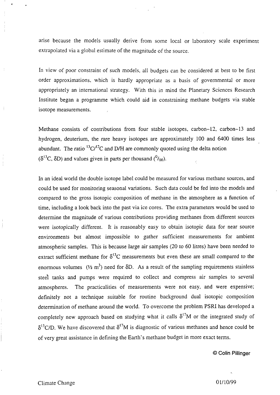arise because the models usually derive from some local or laboratory scale experimer extrapolated via a global estimate of the magnitude of the source.

In view of poor constraint of such models, all budgets can be considered at best to be first order approximations, which is hardly appropriate as a basis of governmental or more appropriately an international strategy. With this in mind the Planetary Sciences Research Institute began a programme which could aid in constraining methane budgets via stable isotope measurements.

Methane consists of contributions from four stable isotopes, carbon–12, carbon-13 and hydrogen, deuterium, the rare heavy isotopes are approximately 100 and 6400 times less abundant. The ratio  ${}^{13}C/{}^{12}C$  and D/H are commonly quoted using the delta notion  $(\delta^{13}C, \delta D)$  and values given in parts per thousand  $(^{0} /_{00})$ .

In an ideal world the double isotope label could be measured for various methane sources, and could be used for monitoring seasonal variations. Such data could be fed into the modeis and compared to the gross isotopic composition of methane in the atmosphere as a function of time, including a look back into the past via ice cores. The extra parameters would be used to determine the magnitude of various contributions providing methanes from different sources were isotopically different. It is reasonably easy to obtain isotopic data for near source environments but almost impossible to gather sufficient measurements for ambient atmospheric samples. This is because large air samples (20 to 60 litres) have been needed to extract sufficient methane for  $\delta^{13}C$  measurements but even these are small compared to the enormous volumes ( $\frac{1}{2}$  m<sup>3</sup>) need for  $\delta D$ . As a result of the sampling requirements stainless steel tanks and pumps were required to collect and compress air samples to several atmospheres. The practicalities of measurements were not easy, and were expensive; definitely not a technique suitable for routine background dual isotopic composition determination of methane around the world. To overcome the problem PSRI has developed a completely new approach based on studying what it calls  $\delta^{17}M$  or the integrated study of  $\delta^{13}$ C/D. We have discovered that  $\delta^{17}$ M is diagnostic of various methanes and hence could be of very great assistance in defining the Earth's methane budget in more exact terms.

@ **Colin Pillinger**

\* .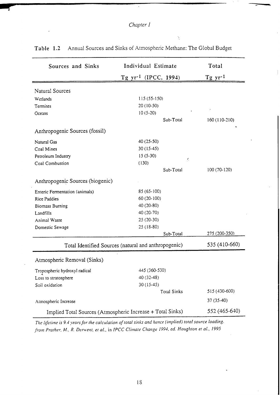# *Chapter 1*

۰.

 $\overline{a}$  ,  $\overline{a}$  ,  $\overline{a}$  ,  $\overline{a}$  ,  $\overline{a}$  ,  $\overline{a}$  ,  $\overline{a}$  ,  $\overline{a}$  ,  $\overline{a}$  ,  $\overline{a}$  ,  $\overline{a}$  ,  $\overline{a}$  ,  $\overline{a}$  ,  $\overline{a}$  ,  $\overline{a}$  ,  $\overline{a}$  ,  $\overline{a}$  ,  $\overline{a}$  ,  $\overline{a}$  ,  $\overline{a}$  ,

| Sources and Sinks                                          | Individual Estimate       | Total          |
|------------------------------------------------------------|---------------------------|----------------|
|                                                            | Tg $yr^{-1}$ (IPCC, 1994) | $Tg \ yr^{-1}$ |
| <b>Natural Sources</b>                                     |                           |                |
| Wetlands                                                   | $115(55-150)$             |                |
| Termites                                                   | 20 (10-50)                |                |
| Oceans                                                     | $10(5-20)$                |                |
|                                                            | Sub-Total                 | 160 (110-210)  |
| Anthropogenic Sources (fossil)                             |                           |                |
| Natural Gas                                                | 40 (25-50)                |                |
| Coal Mines                                                 | $30(15-45)$               |                |
| Petroleum Industry                                         | $15(5-30)$<br>Y.          |                |
| Coal Combustion                                            | (130)                     |                |
|                                                            | Sub-Total                 | 100 (70-120)   |
| Anthropogenic Sources (biogenic)                           |                           |                |
| Enteric Fermentation (animals)                             | 85 (65-100)               |                |
| <b>Rice Paddies</b>                                        | 60 (20-100)               |                |
| <b>Biomass Burning</b>                                     | 40 (20-80)                |                |
| Landfills                                                  | 40 (20-70)                |                |
| Animal Waste                                               | $25(20-30)$               |                |
| Domestic Sewage                                            | 25 (18-80)                |                |
|                                                            | Sub-Total                 | 275 (200-350)  |
| Total Identified Sources (natural and anthropogenic)       |                           | 535 (410-660)  |
| Atmospheric Removal (Sinks)                                |                           |                |
| Tropospheric hydroxyl radical                              | 445 (360-530)             |                |
| Loss to stratosphere                                       | 40 (32-48)                |                |
| Soil oxidation                                             | $30(15-45)$               |                |
|                                                            | <b>Total Sinks</b>        | 515 (430-600)  |
| Atmospheric Increase                                       |                           | 37 (35-40)     |
| Implied Total Sources (Atmospheric Increase + Total Sinks) |                           | 552 (465-640)  |

Table 1.2 Annual Sources and Sinks of Atmospheric Methane: The Global Budget

*Tltc lfe[itne is* 9.4 *years for the calc[llation of rotal sinks and hence (itnl)lied) total so[irce loading. frotn Prather, M., R. Dcr\ient, et a[.,* in *IPCC Cli!tlate Change 1994, cd. Hollghton er al., 1995*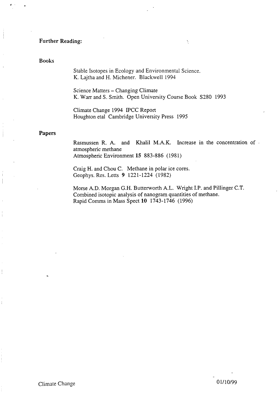#### Further Reading:

#### Books

Stable Isotopes in Ecology and Environmental Science. K. Lajtha and H. Michener. Blackwell 1994

Science Matters – Changing Climate K. Warr and S. Smith. Open University Course Book S280 1993

Climate Change 1994 ECC Report Houghton etal Cambridge University Press 1995

#### Papers

Rasmussen R. A. and Khalil M.A.K. Increase in the concentration of atmospheric methane Atmospheric Environment 15 883-886 (1981)

 $\ddot{\phantom{0}}$ 

Craig H. and Chou C. Methane in polar ice cores. Geophys. Res. Letts 9 1221-1224 (1982)

Morse A.D. Morgan G.H. Butterworth A.L. Wright I.P. and Pillinger C.T. Combined isotopic analysis of nanogram quantities of methane. Rapid Comms in Mass Spect 10 **1743-1746 (1996)**